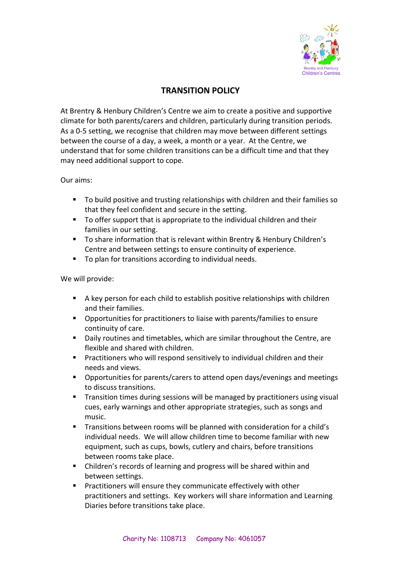

## **TRANSITION POLICY**

At Brentry & Henbury Children's Centre we aim to create a positive and supportive climate for both parents/carers and children, particularly during transition periods. As a 0-5 setting, we recognise that children may move between different settings between the course of a day, a week, a month or a year. At the Centre, we understand that for some children transitions can be a difficult time and that they may need additional support to cope.

Our aims:

- To build positive and trusting relationships with children and their families so that they feel confident and secure in the setting.
- To offer support that is appropriate to the individual children and their families in our setting.
- To share information that is relevant within Brentry & Henbury Children's Centre and between settings to ensure continuity of experience.
- To plan for transitions according to individual needs.

We will provide:

- A key person for each child to establish positive relationships with children and their families.
- Opportunities for practitioners to liaise with parents/families to ensure continuity of care.
- Daily routines and timetables, which are similar throughout the Centre, are flexible and shared with children.
- Practitioners who will respond sensitively to individual children and their needs and views.
- **•** Opportunities for parents/carers to attend open days/evenings and meetings to discuss transitions.
- **Transition times during sessions will be managed by practitioners using visual** cues, early warnings and other appropriate strategies, such as songs and music.
- Transitions between rooms will be planned with consideration for a child's individual needs. We will allow children time to become familiar with new equipment, such as cups, bowls, cutlery and chairs, before transitions between rooms take place.
- Children's records of learning and progress will be shared within and between settings.
- **Practitioners will ensure they communicate effectively with other** practitioners and settings. Key workers will share information and Learning Diaries before transitions take place.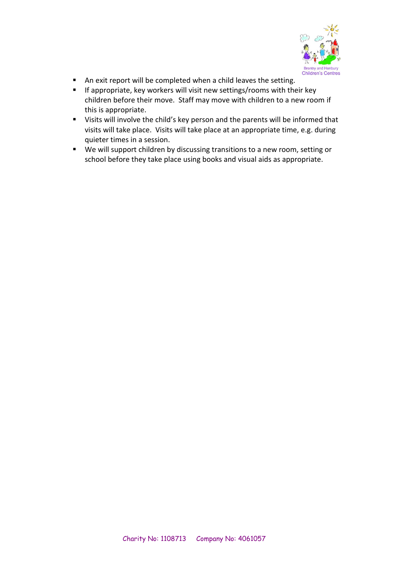

- An exit report will be completed when a child leaves the setting.
- **If appropriate, key workers will visit new settings/rooms with their key** children before their move. Staff may move with children to a new room if this is appropriate.
- Visits will involve the child's key person and the parents will be informed that visits will take place. Visits will take place at an appropriate time, e.g. during quieter times in a session.
- We will support children by discussing transitions to a new room, setting or school before they take place using books and visual aids as appropriate.